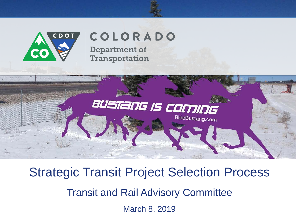

# COLORADO

**Department of** Transportation



Strategic Transit Project Selection Process Transit and Rail Advisory Committee March 8, 2019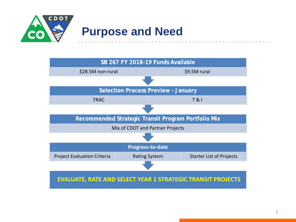

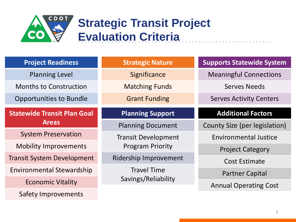

## **Strategic Transit Project Evaluation Criteria**

| <b>Project Readiness</b>           | <b>Strategic Nature</b>    | <b>Supports Statewide System</b> |
|------------------------------------|----------------------------|----------------------------------|
|                                    |                            |                                  |
| <b>Planning Level</b>              | Significance               | <b>Meaningful Connections</b>    |
| <b>Months to Construction</b>      | <b>Matching Funds</b>      | <b>Serves Needs</b>              |
| <b>Opportunities to Bundle</b>     | <b>Grant Funding</b>       | <b>Serves Activity Centers</b>   |
| <b>Statewide Transit Plan Goal</b> | <b>Planning Support</b>    | <b>Additional Factors</b>        |
|                                    |                            |                                  |
| <b>Areas</b>                       | <b>Planning Document</b>   | County Size (per legislation)    |
| <b>System Preservation</b>         | <b>Transit Development</b> | <b>Environmental Justice</b>     |
| <b>Mobility Improvements</b>       | <b>Program Priority</b>    | <b>Project Category</b>          |
| <b>Transit System Development</b>  | Ridership Improvement      | <b>Cost Estimate</b>             |
| <b>Environmental Stewardship</b>   | <b>Travel Time</b>         | <b>Partner Capital</b>           |
|                                    | Savings/Reliability        |                                  |
| <b>Economic Vitality</b>           |                            | <b>Annual Operating Cost</b>     |
| Safety Improvements                |                            |                                  |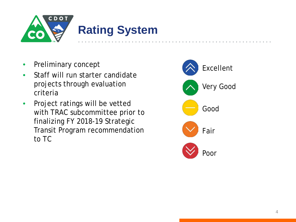

- Preliminary concept
- Staff will run starter candidate projects through evaluation criteria
- Project ratings will be vetted with TRAC subcommittee prior to finalizing FY 2018-19 Strategic Transit Program recommendation to TC

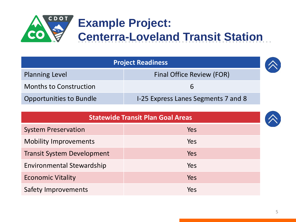

| <b>Project Readiness</b>       |                                     |  |
|--------------------------------|-------------------------------------|--|
| <b>Planning Level</b>          | <b>Final Office Review (FOR)</b>    |  |
| <b>Months to Construction</b>  |                                     |  |
| <b>Opportunities to Bundle</b> | I-25 Express Lanes Segments 7 and 8 |  |

| <b>Statewide Transit Plan Goal Areas</b> |            |  |  |
|------------------------------------------|------------|--|--|
| <b>System Preservation</b>               | <b>Yes</b> |  |  |
| <b>Mobility Improvements</b>             | Yes        |  |  |
| <b>Transit System Development</b>        | Yes        |  |  |
| <b>Environmental Stewardship</b>         | Yes        |  |  |
| <b>Economic Vitality</b>                 | Yes        |  |  |
| <b>Safety Improvements</b>               | Yes        |  |  |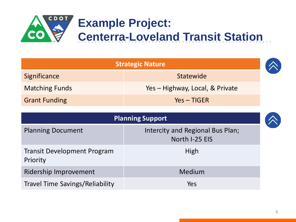

| <b>Strategic Nature</b> |                                 |
|-------------------------|---------------------------------|
| Significance            | Statewide                       |
| <b>Matching Funds</b>   | Yes - Highway, Local, & Private |
| <b>Grant Funding</b>    | $Yes - TIGER$                   |

| <b>Planning Support</b>                        |                                                    |  |  |
|------------------------------------------------|----------------------------------------------------|--|--|
| <b>Planning Document</b>                       | Intercity and Regional Bus Plan;<br>North I-25 EIS |  |  |
| <b>Transit Development Program</b><br>Priority | High                                               |  |  |
| <b>Ridership Improvement</b>                   | Medium                                             |  |  |
| <b>Travel Time Savings/Reliability</b>         | Yes                                                |  |  |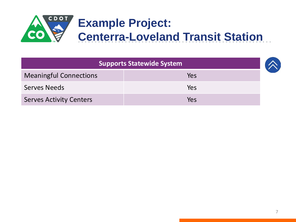

| <b>Supports Statewide System</b> |     |  |
|----------------------------------|-----|--|
| <b>Meaningful Connections</b>    | Yes |  |
| <b>Serves Needs</b>              | Yes |  |
| <b>Serves Activity Centers</b>   | Yes |  |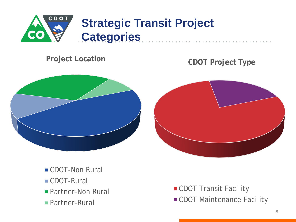

#### **Project Location**

#### **CDOT Project Type**



- CDOT-Non Rural
- CDOT-Rural
- **Partner-Non Rural**
- Partner-Rural
- **CDOT Transit Facility**
- **CDOT Maintenance Facility**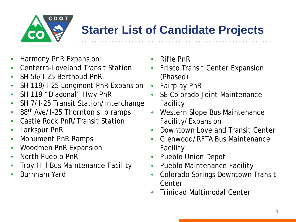

### **Starter List of Candidate Projects**

- Harmony PnR Expansion
- Centerra-Loveland Transit Station
- SH 56/I-25 Berthoud PnR
- SH 119/I-25 Longmont PnR Expansion
- SH 119 "Diagonal" Hwy PnR
- SH 7/I-25 Transit Station/Interchange
- 88<sup>th</sup> Ave/I-25 Thornton slip ramps
- Castle Rock PnR/Transit Station
- Larkspur PnR
- Monument PnR Ramps
- Woodmen PnR Expansion
- North Pueblo PnR
- Troy Hill Bus Maintenance Facility
- Burnham Yard
- Rifle PnR
- Frisco Transit Center Expansion (Phased)
- Fairplay PnR
- SE Colorado Joint Maintenance Facility
- Western Slope Bus Maintenance Facility/Expansion
- Downtown Loveland Transit Center
- Glenwood/RFTA Bus Maintenance Facility
- Pueblo Union Depot
- Pueblo Maintenance Facility
- Colorado Springs Downtown Transit **Center**
- Trinidad Multimodal Center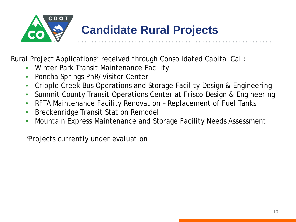

Rural Project Applications\* received through Consolidated Capital Call:

- Winter Park Transit Maintenance Facility
- Poncha Springs PnR/Visitor Center
- Cripple Creek Bus Operations and Storage Facility Design & Engineering
- Summit County Transit Operations Center at Frisco Design & Engineering
- RFTA Maintenance Facility Renovation Replacement of Fuel Tanks
- Breckenridge Transit Station Remodel
- Mountain Express Maintenance and Storage Facility Needs Assessment

*\*Projects currently under evaluation*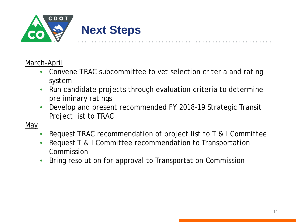

#### March-April

- Convene TRAC subcommittee to vet selection criteria and rating system
- Run candidate projects through evaluation criteria to determine preliminary ratings
- Develop and present recommended FY 2018-19 Strategic Transit Project list to TRAC
- May
	- Request TRAC recommendation of project list to T & I Committee
	- Request T & I Committee recommendation to Transportation Commission
	- Bring resolution for approval to Transportation Commission